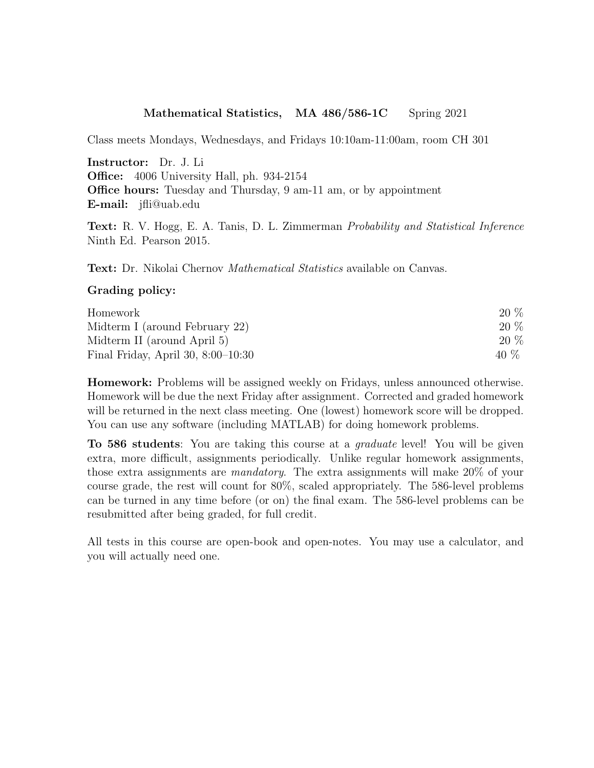## Mathematical Statistics, MA 486/586-1C Spring 2021

Class meets Mondays, Wednesdays, and Fridays 10:10am-11:00am, room CH 301

Instructor: Dr. J. Li Office: 4006 University Hall, ph. 934-2154 **Office hours:** Tuesday and Thursday, 9 am-11 am, or by appointment E-mail: jfli@uab.edu

Text: R. V. Hogg, E. A. Tanis, D. L. Zimmerman Probability and Statistical Inference Ninth Ed. Pearson 2015.

Text: Dr. Nikolai Chernov Mathematical Statistics available on Canvas.

## Grading policy:

| Homework                             | 20 % |
|--------------------------------------|------|
| Midterm I (around February 22)       | 20 % |
| Midterm II (around April 5)          | 20 % |
| Final Friday, April 30, $8:00-10:30$ | 40 % |

Homework: Problems will be assigned weekly on Fridays, unless announced otherwise. Homework will be due the next Friday after assignment. Corrected and graded homework will be returned in the next class meeting. One (lowest) homework score will be dropped. You can use any software (including MATLAB) for doing homework problems.

To 586 students: You are taking this course at a graduate level! You will be given extra, more difficult, assignments periodically. Unlike regular homework assignments, those extra assignments are mandatory. The extra assignments will make 20% of your course grade, the rest will count for 80%, scaled appropriately. The 586-level problems can be turned in any time before (or on) the final exam. The 586-level problems can be resubmitted after being graded, for full credit.

All tests in this course are open-book and open-notes. You may use a calculator, and you will actually need one.